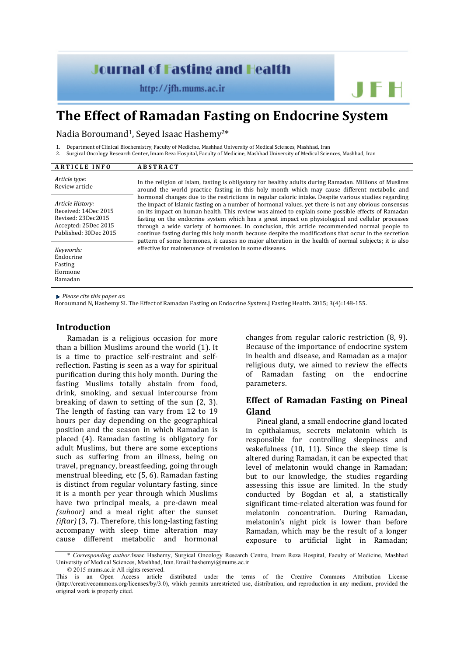# **Journal of Fasting and Health**

 $http://jfh.mums.ac.in$ 

# **The Effect of Ramadan Fasting on Endocrine System**

Nadia Boroumand<sup>1</sup>, Seyed Isaac Hashemy<sup>2\*</sup>

1. Department of Clinical Biochemistry, Faculty of Medicine, Mashhad University of Medical Sciences, Mashhad, Iran

2. Surgical Oncology Research Center, Imam Reza Hospital, Faculty of Medicine, Mashhad University of Medical Sciences, Mashhad, Iran

| <b>ARTICLE INFO</b>                                                                                             | <b>ABSTRACT</b>                                                                                                                                                                                                                                                                                                                                                                                                                                                                                                                                                                                                                                                                                                                                                                                                                                                                                                                                                                                              |
|-----------------------------------------------------------------------------------------------------------------|--------------------------------------------------------------------------------------------------------------------------------------------------------------------------------------------------------------------------------------------------------------------------------------------------------------------------------------------------------------------------------------------------------------------------------------------------------------------------------------------------------------------------------------------------------------------------------------------------------------------------------------------------------------------------------------------------------------------------------------------------------------------------------------------------------------------------------------------------------------------------------------------------------------------------------------------------------------------------------------------------------------|
| Article type:<br>Review article                                                                                 | In the religion of Islam, fasting is obligatory for healthy adults during Ramadan. Millions of Muslims<br>around the world practice fasting in this holy month which may cause different metabolic and<br>hormonal changes due to the restrictions in regular caloric intake. Despite various studies regarding<br>the impact of Islamic fasting on a number of hormonal values, yet there is not any obvious consensus<br>on its impact on human health. This review was aimed to explain some possible effects of Ramadan<br>fasting on the endocrine system which has a great impact on physiological and cellular processes<br>through a wide variety of hormones. In conclusion, this article recommended normal people to<br>continue fasting during this holy month because despite the modifications that occur in the secretion<br>pattern of some hormones, it causes no major alteration in the health of normal subjects; it is also<br>effective for maintenance of remission in some diseases. |
| Article History:<br>Received: 14Dec 2015<br>Revised: 23Dec2015<br>Accepted: 25Dec 2015<br>Published: 30Dec 2015 |                                                                                                                                                                                                                                                                                                                                                                                                                                                                                                                                                                                                                                                                                                                                                                                                                                                                                                                                                                                                              |
| Keywords:<br>Endocrine<br>Fasting<br>Hormone<br>Ramadan                                                         |                                                                                                                                                                                                                                                                                                                                                                                                                                                                                                                                                                                                                                                                                                                                                                                                                                                                                                                                                                                                              |
|                                                                                                                 |                                                                                                                                                                                                                                                                                                                                                                                                                                                                                                                                                                                                                                                                                                                                                                                                                                                                                                                                                                                                              |

*Please cite this paper as*:

Boroumand N, Hashemy SI. The Effect of Ramadan Fasting on Endocrine System.J Fasting Health. 2015; 3(4):148-155.

#### **Introduction**

Ramadan is a religious occasion for more than a billion Muslims around the world (1). It is a time to practice self-restraint and selfreflection. Fasting is seen as a way for spiritual purification during this holy month. During the fasting Muslims totally abstain from food, drink, smoking, and sexual intercourse from breaking of dawn to setting of the sun (2, 3). The length of fasting can vary from 12 to 19 hours per day depending on the geographical position and the season in which Ramadan is placed (4). Ramadan fasting is obligatory for adult Muslims, but there are some exceptions such as suffering from an illness, being on travel, pregnancy, breastfeeding, going through menstrual bleeding, etc (5, 6). Ramadan fasting is distinct from regular voluntary fasting, since it is a month per year through which Muslims have two principal meals, a pre-dawn meal *(suhoor)* and a meal right after the sunset *(iftar)* (3, 7). Therefore, this long-lasting fasting accompany with sleep time alteration may cause different metabolic and hormonal

changes from regular caloric restriction (8, 9). Because of the importance of endocrine system in health and disease, and Ramadan as a major religious duty, we aimed to review the effects of Ramadan fasting on the endocrine parameters.

JFH

# **Effect of Ramadan Fasting on Pineal Gland**

Pineal gland, a small endocrine gland located in epithalamus, secrets melatonin which is responsible for controlling sleepiness and wakefulness (10, 11). Since the sleep time is altered during Ramadan, it can be expected that level of melatonin would change in Ramadan; but to our knowledge, the studies regarding assessing this issue are limited. In the study conducted by Bogdan et al, a statistically significant time-related alteration was found for melatonin concentration. During Ramadan, melatonin's night pick is lower than before Ramadan, which may be the result of a longer exposure to artificial light in Ramadan;

© 2015 mums.ac.ir All rights reserved.

<sup>\*</sup> *Corresponding author:*Isaac Hashemy, Surgical Oncology Research Centre, Imam Reza Hospital, Faculty of Medicine, Mashhad University of Medical Sciences, Mashhad, Iran.Email:hashemyi@mums.ac.ir

This is an Open Access article distributed under the terms of the Creative Commons Attribution License (http://creativecommons.org/licenses/by/3.0), which permits unrestricted use, distribution, and reproduction in any medium, provided the original work is properly cited.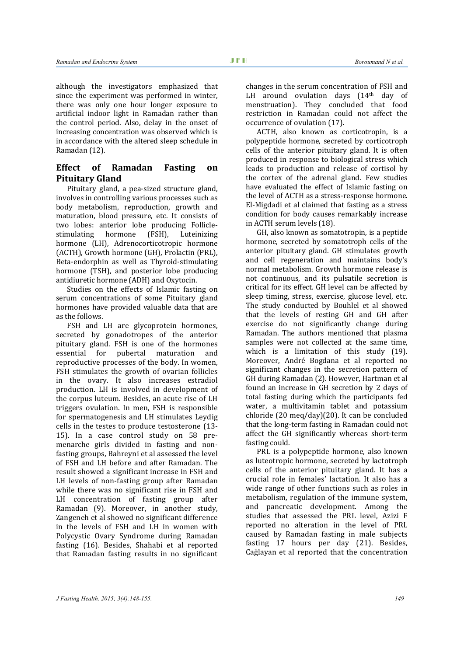although the investigators emphasized that since the experiment was performed in winter, there was only one hour longer exposure to artificial indoor light in Ramadan rather than the control period. Also, delay in the onset of increasing concentration was observed which is in accordance with the altered sleep schedule in Ramadan (12).

# **Effect of Ramadan Fasting on Pituitary Gland**

Pituitary gland, a pea-sized structure gland, involves in controlling various processes such as body metabolism, reproduction, growth and maturation, blood pressure, etc. It consists of two lobes: anterior lobe producing Follicle-<br>stimulating hormone (FSH), Luteinizing stimulating hormone (FSH), Luteinizing hormone (LH), Adrenocorticotropic hormone (ACTH), Growth hormone (GH), Prolactin (PRL), Beta-endorphin as well as Thyroid-stimulating hormone (TSH), and posterior lobe producing antidiuretic hormone (ADH) and Oxytocin.

Studies on the effects of Islamic fasting on serum concentrations of some Pituitary gland hormones have provided valuable data that are as the follows.

FSH and LH are glycoprotein hormones, secreted by gonadotropes of the anterior pituitary gland. FSH is one of the hormones<br>essential for pubertal maturation and pubertal maturation and reproductive processes of the body. In women, FSH stimulates the growth of ovarian follicles in the ovary. It also increases estradiol production. LH is involved in development of the corpus luteum. Besides, an acute rise of LH triggers ovulation. In men, FSH is responsible for spermatogenesis and LH stimulates Leydig cells in the testes to produce testosterone (13- 15). In a case control study on 58 premenarche girls divided in fasting and nonfasting groups, Bahreyni et al assessed the level of FSH and LH before and after Ramadan. The result showed a significant increase in FSH and LH levels of non-fasting group after Ramadan while there was no significant rise in FSH and LH concentration of fasting group after Ramadan (9). Moreover, in another study, Zangeneh et al showed no significant difference in the levels of FSH and LH in women with Polycystic Ovary Syndrome during Ramadan fasting (16). Besides, Shahabi et al reported that Ramadan fasting results in no significant changes in the serum concentration of FSH and LH around ovulation days  $(14<sup>th</sup>$  day of menstruation). They concluded that food restriction in Ramadan could not affect the occurrence of ovulation (17).

ACTH, also known as corticotropin, is a polypeptide hormone, secreted by corticotroph cells of the anterior pituitary gland. It is often produced in response to biological stress which leads to production and release of cortisol by the cortex of the adrenal gland. Few studies have evaluated the effect of Islamic fasting on the level of ACTH as a stress-response hormone. El-Migdadi et al claimed that fasting as a stress condition for body causes remarkably increase in ACTH serum levels (18).

GH, also known as somatotropin, is a peptide hormone, secreted by somatotroph cells of the anterior pituitary gland. GH stimulates growth and cell regeneration and maintains body's normal metabolism. Growth hormone release is not continuous, and its pulsatile secretion is critical for its effect. GH level can be affected by sleep timing, stress, exercise, glucose level, etc. The study conducted by Bouhlel et al showed that the levels of resting GH and GH after exercise do not significantly change during Ramadan. The authors mentioned that plasma samples were not collected at the same time, which is a limitation of this study (19). Moreover, André Bogdana et al reported no significant changes in the secretion pattern of GH during Ramadan (2). However, Hartman et al found an increase in GH secretion by 2 days of total fasting during which the participants fed water, a multivitamin tablet and potassium chloride (20 meq/day)(20). It can be concluded that the long-term fasting in Ramadan could not affect the GH significantly whereas short-term fasting could.

PRL is a polypeptide hormone, also known as luteotropic hormone, secreted by lactotroph cells of the anterior pituitary gland. It has a crucial role in females' lactation. It also has a wide range of other functions such as roles in metabolism, regulation of the immune system, and pancreatic development. Among the studies that assessed the PRL level, Azizi F reported no alteration in the level of PRL caused by Ramadan fasting in male subjects fasting 17 hours per day (21). Besides, Cağlayan et al reported that the concentration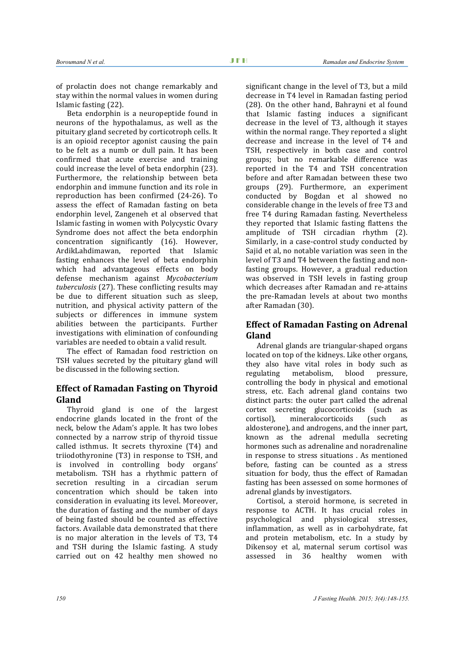of prolactin does not change remarkably and stay within the normal values in women during Islamic fasting (22).

Beta endorphin is a neuropeptide found in neurons of the hypothalamus, as well as the pituitary gland secreted by corticotroph cells. It is an opioid receptor agonist causing the pain to be felt as a numb or dull pain. It has been confirmed that acute exercise and training could increase the level of beta endorphin (23). Furthermore, the relationship between beta endorphin and immune function and its role in reproduction has been confirmed (24-26). To assess the effect of Ramadan fasting on beta endorphin level, Zangeneh et al observed that Islamic fasting in women with Polycystic Ovary Syndrome does not affect the beta endorphin concentration significantly (16). However,<br>ArdikLahdimawan, reported that Islamic ArdikLahdimawan, reported fasting enhances the level of beta endorphin which had advantageous effects on body defense mechanism against *Mycobacterium tuberculosis* (27). These conflicting results may be due to different situation such as sleep, nutrition, and physical activity pattern of the subjects or differences in immune system abilities between the participants. Further investigations with elimination of confounding variables are needed to obtain a valid result.

The effect of Ramadan food restriction on TSH values secreted by the pituitary gland will be discussed in the following section.

## **Effect of Ramadan Fasting on Thyroid Gland**

Thyroid gland is one of the largest endocrine glands located in the front of the neck, below the Adam's apple. It has two lobes connected by a narrow strip of thyroid tissue called isthmus. It secrets thyroxine (T4) and triiodothyronine (T3) in response to TSH, and is involved in controlling body organs' metabolism. TSH has a rhythmic pattern of secretion resulting in a circadian serum concentration which should be taken into consideration in evaluating its level. Moreover, the duration of fasting and the number of days of being fasted should be counted as effective factors. Available data demonstrated that there is no major alteration in the levels of T3, T4 and TSH during the Islamic fasting. A study carried out on 42 healthy men showed no

significant change in the level of T3, but a mild decrease in T4 level in Ramadan fasting period (28). On the other hand, Bahrayni et al found that Islamic fasting induces a significant decrease in the level of T3, although it stayes within the normal range. They reported a slight decrease and increase in the level of T4 and TSH, respectively in both case and control groups; but no remarkable difference was reported in the T4 and TSH concentration before and after Ramadan between these two groups (29). Furthermore, an experiment conducted by Bogdan et al showed no considerable change in the levels of free T3 and free T4 during Ramadan fasting. Nevertheless they reported that Islamic fasting flattens the amplitude of TSH circadian rhythm (2). Similarly, in a case-control study conducted by Sajid et al, no notable variation was seen in the level of T3 and T4 between the fasting and nonfasting groups. However, a gradual reduction was observed in TSH levels in fasting group which decreases after Ramadan and re-attains the pre-Ramadan levels at about two months after Ramadan (30).

# **Effect of Ramadan Fasting on Adrenal Gland**

Adrenal glands are triangular-shaped organs located on top of the kidneys. Like other organs, they also have vital roles in body such as<br>regulating metabolism, blood pressure, metabolism, controlling the body in physical and emotional stress, etc. Each adrenal gland contains two distinct parts: the outer part called the adrenal cortex secreting glucocorticoids (such as mineralocorticoids (such as aldosterone), and androgens, and the inner part, known as the adrenal medulla secreting hormones such as adrenaline and noradrenaline in response to stress situations . As mentioned before, fasting can be counted as a stress situation for body, thus the effect of Ramadan fasting has been assessed on some hormones of adrenal glands by investigators.

Cortisol, a steroid hormone, is secreted in response to ACTH. It has crucial roles in psychological and physiological stresses, inflammation, as well as in carbohydrate, fat and protein metabolism, etc. In a study by Dikensoy et al, maternal serum cortisol was<br>assessed in 36 healthy women with healthy women with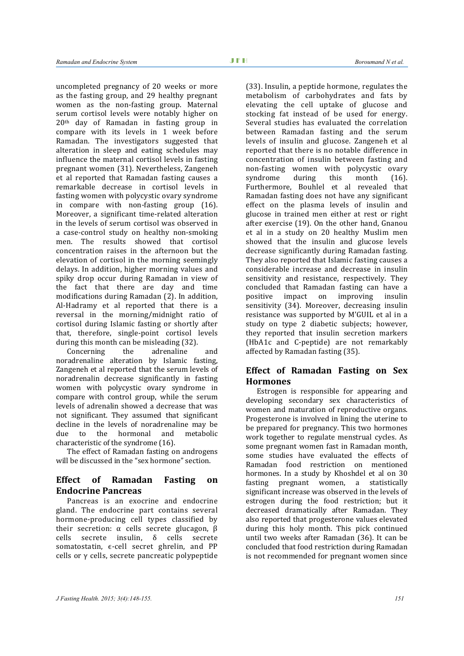uncompleted pregnancy of 20 weeks or more as the fasting group, and 29 healthy pregnant women as the non-fasting group. Maternal serum cortisol levels were notably higher on 20th day of Ramadan in fasting group in compare with its levels in 1 week before Ramadan. The investigators suggested that alteration in sleep and eating schedules may influence the maternal cortisol levels in fasting pregnant women (31). Nevertheless, Zangeneh et al reported that Ramadan fasting causes a remarkable decrease in cortisol levels in fasting women with polycystic ovary syndrome in compare with non-fasting group (16). Moreover, a significant time-related alteration in the levels of serum cortisol was observed in a case-control study on healthy non-smoking men. The results showed that cortisol concentration raises in the afternoon but the elevation of cortisol in the morning seemingly delays. In addition, higher morning values and spiky drop occur during Ramadan in view of the fact that there are day and time modifications during Ramadan (2). In addition, Al-Hadramy et al reported that there is a reversal in the morning/midnight ratio of cortisol during Islamic fasting or shortly after that, therefore, single-point cortisol levels

during this month can be misleading (32).<br>Concerning the adrenaline Concerning the adrenaline and noradrenaline alteration by Islamic fasting, Zangeneh et al reported that the serum levels of noradrenalin decrease significantly in fasting women with polycystic ovary syndrome in compare with control group, while the serum levels of adrenalin showed a decrease that was not significant. They assumed that significant decline in the levels of noradrenaline may be<br>due to the hormonal and metabolic due to the hormonal and metabolic characteristic of the syndrome (16).

The effect of Ramadan fasting on androgens will be discussed in the "sex hormone" section.

# **Effect of Ramadan Fasting on Endocrine Pancreas**

Pancreas is an exocrine and endocrine gland. The endocrine part contains several hormone-producing cell types classified by their secretion: α cells secrete glucagon, β cells secrete insulin, δ cells secrete somatostatin, e-cell secret ghrelin, and PP cells or  $γ$  cells, secrete pancreatic polypeptide (33). Insulin, a peptide hormone, regulates the metabolism of carbohydrates and fats by elevating the cell uptake of glucose and stocking fat instead of be used for energy. Several studies has evaluated the correlation between Ramadan fasting and the serum levels of insulin and glucose. Zangeneh et al reported that there is no notable difference in concentration of insulin between fasting and non-fasting women with polycystic ovary<br>syndrome during this month (16). syndrome during this month (16). Furthermore, Bouhlel et al revealed that Ramadan fasting does not have any significant effect on the plasma levels of insulin and glucose in trained men either at rest or right after exercise (19). On the other hand, Gnanou et al in a study on 20 healthy Muslim men showed that the insulin and glucose levels decrease significantly during Ramadan fasting. They also reported that Islamic fasting causes a considerable increase and decrease in insulin sensitivity and resistance, respectively. They concluded that Ramadan fasting can have a impact on improving insulin sensitivity (34). Moreover, decreasing insulin resistance was supported by M'GUIL et al in a study on type 2 diabetic subjects; however, they reported that insulin secretion markers (HbA1c and C-peptide) are not remarkably affected by Ramadan fasting (35).

# **Effect of Ramadan Fasting on Sex Hormones**

Estrogen is responsible for appearing and developing secondary sex characteristics of women and maturation of reproductive organs. Progesterone is involved in lining the uterine to be prepared for pregnancy. This two hormones work together to regulate menstrual cycles. As some pregnant women fast in Ramadan month, some studies have evaluated the effects of Ramadan food restriction on mentioned hormones. In a study by Khoshdel et al on 30 fasting pregnant women, a statistically significant increase was observed in the levels of estrogen during the food restriction; but it decreased dramatically after Ramadan. They also reported that progesterone values elevated during this holy month. This pick continued until two weeks after Ramadan (36). It can be concluded that food restriction during Ramadan is not recommended for pregnant women since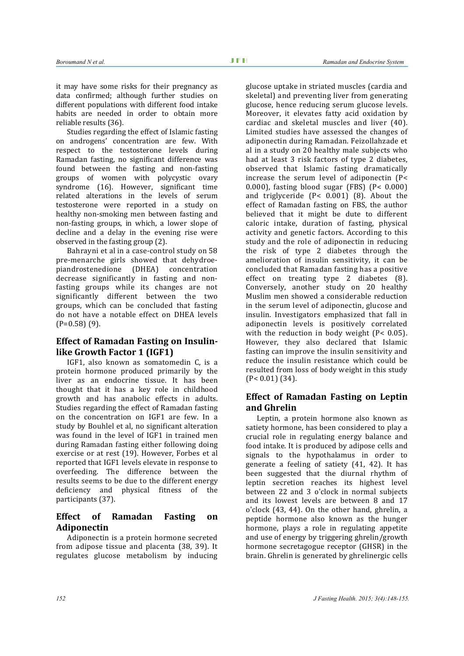it may have some risks for their pregnancy as data confirmed; although further studies on different populations with different food intake habits are needed in order to obtain more reliable results (36).

Studies regarding the effect of Islamic fasting on androgens' concentration are few. With respect to the testosterone levels during Ramadan fasting, no significant difference was found between the fasting and non-fasting groups of women with polycystic ovary syndrome (16). However, significant time related alterations in the levels of serum testosterone were reported in a study on healthy non-smoking men between fasting and non-fasting groups, in which, a lower slope of decline and a delay in the evening rise were observed in the fasting group (2).

Bahrayni et al in a case-control study on 58 pre-menarche girls showed that dehydroepiandrostenedione (DHEA) concentration decrease significantly in fasting and nonfasting groups while its changes are not significantly different between the two groups, which can be concluded that fasting do not have a notable effect on DHEA levels  $(P=0.58)$  (9).

## **Effect of Ramadan Fasting on Insulinlike Growth Factor 1 (IGF1)**

IGF1, also known as somatomedin C, is a protein hormone produced primarily by the liver as an endocrine tissue. It has been thought that it has a key role in childhood growth and has anabolic effects in adults. Studies regarding the effect of Ramadan fasting on the concentration on IGF1 are few. In a study by Bouhlel et al, no significant alteration was found in the level of IGF1 in trained men during Ramadan fasting either following doing exercise or at rest (19). However, Forbes et al reported that IGF1 levels elevate in response to overfeeding. The difference between the results seems to be due to the different energy deficiency and physical fitness of the participants (37).

# **Effect of Ramadan Fasting on Adiponectin**

Adiponectin is a protein hormone secreted from adipose tissue and placenta (38, 39). It regulates glucose metabolism by inducing

glucose uptake in striated muscles (cardia and skeletal) and preventing liver from generating glucose, hence reducing serum glucose levels. Moreover, it elevates fatty acid oxidation by cardiac and skeletal muscles and liver (40). Limited studies have assessed the changes of adiponectin during Ramadan. Feizollahzade et al in a study on 20 healthy male subjects who had at least 3 risk factors of type 2 diabetes, observed that Islamic fasting dramatically increase the serum level of adiponectin (P< 0.000), fasting blood sugar (FBS) (P< 0.000) and triglyceride (P< 0.001) (8). About the effect of Ramadan fasting on FBS, the author believed that it might be dute to different caloric intake, duration of fasting, physical activity and genetic factors. According to this study and the role of adiponectin in reducing the risk of type 2 diabetes through the amelioration of insulin sensitivity, it can be concluded that Ramadan fasting has a positive effect on treating type 2 diabetes (8). Conversely, another study on 20 healthy Muslim men showed a considerable reduction in the serum level of adiponectin, glucose and insulin. Investigators emphasized that fall in adiponectin levels is positively correlated with the reduction in body weight (P< 0.05). However, they also declared that Islamic fasting can improve the insulin sensitivity and reduce the insulin resistance which could be resulted from loss of body weight in this study (P< 0.01) (34).

## **Effect of Ramadan Fasting on Leptin and Ghrelin**

Leptin, a protein hormone also known as satiety hormone, has been considered to play a crucial role in regulating energy balance and food intake. It is produced by adipose cells and signals to the hypothalamus in order to generate a feeling of satiety (41, 42). It has been suggested that the diurnal rhythm of leptin secretion reaches its highest level between 22 and 3 o'clock in normal subjects and its lowest levels are between 8 and 17 o'clock (43, 44). On the other hand, ghrelin, a peptide hormone also known as the hunger hormone, plays a role in regulating appetite and use of energy by triggering ghrelin/growth hormone secretagogue receptor (GHSR) in the brain. Ghrelin is generated by ghrelinergic cells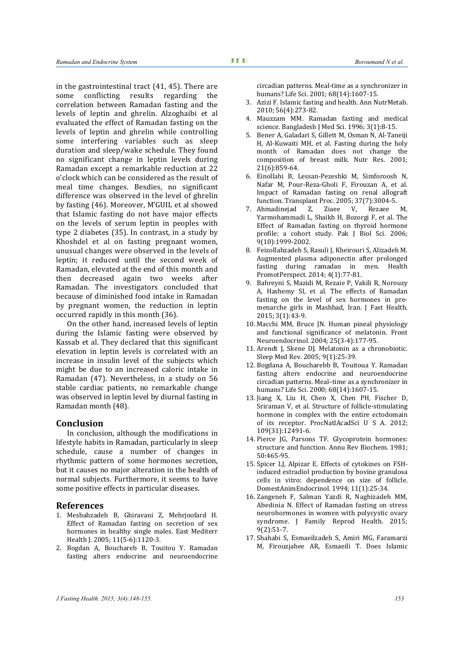in the gastrointestinal tract (41, 45). There are some conflicting results regarding the correlation between Ramadan fasting and the levels of leptin and ghrelin. Alzoghaibi et al evaluated the effect of Ramadan fasting on the levels of leptin and ghrelin while controlling some interfering variables such as sleep duration and sleep/wake schedule. They found no significant change in leptin levels during Ramadan except a remarkable reduction at 22 o'clock which can be considered as the result of meal time changes. Besdies, no significant difference was observed in the level of ghrelin by fasting (46). Moreover, M'GUIL et al showed that Islamic fasting do not have major effects on the levels of serum leptin in peoples with type 2 diabetes (35). In contrast, in a study by Khoshdel et al on fasting pregnant women, unusual changes were observed in the levels of leptin; it reduced until the second week of Ramadan, elevated at the end of this month and then decreased again two weeks after Ramadan. The investigators concluded that because of diminished food intake in Ramadan by pregnant women, the reduction in leptin occurred rapidly in this month (36).

On the other hand, increased levels of leptin during the Islamic fasting were observed by Kassab et al. They declared that this significant elevation in leptin levels is correlated with an increase in insulin level of the subjects which might be due to an increased caloric intake in Ramadan (47). Nevertheless, in a study on 56 stable cardiac patients, no remarkable change was observed in leptin level by diurnal fasting in Ramadan month (48).

#### **Conclusion**

In conclusion, although the modifications in lifestyle habits in Ramadan, particularly in sleep schedule, cause a number of changes in rhythmic pattern of some hormones secretion, but it causes no major alteration in the health of normal subjects. Furthermore, it seems to have some positive effects in particular diseases.

#### **References**

- 1. Mesbahzadeh B, Ghiravani Z, Mehrjoofard H. Effect of Ramadan fasting on secretion of sex hormones in healthy single males. East Mediterr Health J. 2005; 11(5-6):1120-3.
- 2. Bogdan A, Bouchareb B, Touitou Y. Ramadan fasting alters endocrine and neuroendocrine

circadian patterns. Meal-time as a synchronizer in humans? Life Sci. 2001; 68(14):1607-15.

- 3. Azizi F. Islamic fasting and health. Ann NutrMetab. 2010; 56(4):273-82.
- 4. Mauzzam MM. Ramadan fasting and medical science. Bangladesh J Med Sci. 1996; 3(1):8-15.
- 5. Bener A, Galadari S, Gillett M, Osman N, Al-Taneiji H, Al-Kuwaiti MH, et al. Fasting during the holy month of Ramadan does not change the composition of breast milk. Nutr Res. 2001; 21(6):859-64.
- 6. Einollahi B, Lessan-Pezeshki M, Simforoosh N, Nafar M, Pour-Reza-Gholi F, Firouzan A, et al. Impact of Ramadan fasting on renal allograft function. Transplant Proc. 2005; 37(7):3004-5.
- Z, Ziaee V, Rezaee M, Yarmohammadi L, Shaikh H, Bozorgi F, et al. The Effect of Ramadan fasting on thyroid hormone profile: a cohort study. Pak J Biol Sci. 2006; 9(10):1999-2002.
- 8. Feizollahzadeh S, Rasuli J, Kheirouri S, Alizadeh M. Augmented plasma adiponectin after prolonged fasting during ramadan in men. Health PromotPerspect. 2014; 4(1):77-81.
- 9. Bahreyni S, Mazidi M, Rezaie P, Vakili R, Norouzy A, Hashemy SI, et al. The effects of Ramadan fasting on the level of sex hormones in premenarche girls in Mashhad, Iran. J Fast Health. 2015; 3(1):43-9.
- 10. Macchi MM, Bruce JN. Human pineal physiology and functional significance of melatonin. Front Neuroendocrinol. 2004; 25(3-4):177-95.
- 11. Arendt J, Skene DJ. Melatonin as a chronobiotic. Sleep Med Rev. 2005; 9(1):25-39.
- 12. Bogdana A, Boucharebb B, Touitoua Y. Ramadan fasting alters endocrine and neuroendocrine circadian patterns. Meal–time as a synchronizer in humans? Life Sci. 2000; 68(14):1607-15.
- 13. Jiang X, Liu H, Chen X, Chen PH, Fischer D, Sriraman V, et al. Structure of follicle-stimulating hormone in complex with the entire ectodomain of its receptor. ProcNatlAcadSci U S A. 2012; 109(31):12491-6.
- 14. Pierce JG, Parsons TF. Glycoprotein hormones: structure and function. Annu Rev Biochem. 1981; 50:465-95.
- 15. Spicer LJ, Alpizar E. Effects of cytokines on FSHinduced estradiol production by bovine granulosa cells in vitro: dependence on size of follicle. DomestAnimEndocrinol. 1994; 11(1):25-34.
- 16. Zangeneh F, Salman Yazdi R, Naghizadeh MM, Abedinia N. Effect of Ramadan fasting on stress neurohormones in women with polycystic ovary syndrome. J Family Reprod Health. 2015; 9(2):51-7.
- 17. Shahabi S, Esmaeilzadeh S, Amiri MG, Faramarzi M, Firouzjahee AR, Esmaeili T. Does Islamic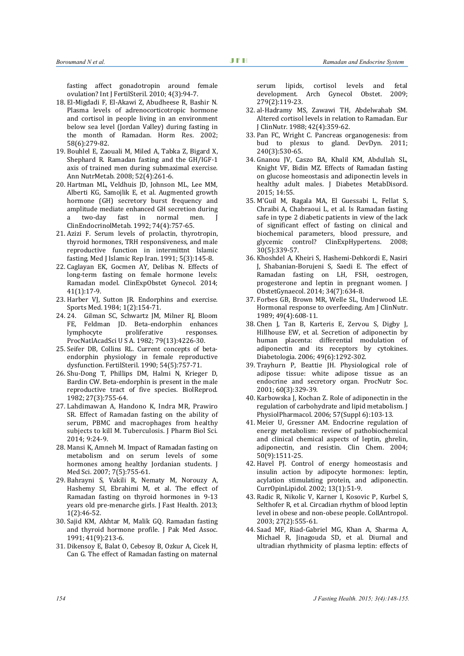fasting affect gonadotropin around female ovulation? Int J FertilSteril. 2010; 4(3):94-7.

- 18. El-Migdadi F, El-Akawi Z, Abudheese R, Bashir N. Plasma levels of adrenocorticotropic hormone and cortisol in people living in an environment below sea level (Jordan Valley) during fasting in the month of Ramadan. Horm Res. 2002; 58(6):279-82.
- 19. Bouhlel E, Zaouali M, Miled A, Tabka Z, Bigard X, Shephard R. Ramadan fasting and the GH/IGF-1 axis of trained men during submaximal exercise. Ann NutrMetab. 2008; 52(4):261-6.
- 20. Hartman ML, Veldhuis JD, Johnson ML, Lee MM, Alberti KG, Samojlik E, et al. Augmented growth hormone (GH) secretory burst frequency and amplitude mediate enhanced GH secretion during fast in normal men. J ClinEndocrinolMetab. 1992; 74(4):757-65.
- 21. Azizi F. Serum levels of prolactin, thyrotropin, thyroid hormones, TRH responsiveness, and male reproductive function in intermittnt Islamic fasting. Med J Islamic Rep Iran. 1991; 5(3):145-8.
- 22. Caglayan EK, Gocmen AY, Delibas N. Effects of long-term fasting on female hormone levels: Ramadan model. ClinExpObstet Gynecol. 2014; 41(1):17-9.
- 23. Harber VJ, Sutton JR. Endorphins and exercise. Sports Med. 1984; 1(2):154-71.
- 24. 24. Gilman SC, Schwartz JM, Milner RJ, Bloom FE, Feldman JD. Beta-endorphin enhances<br>lymphocyte proliferative responses. proliferative ProcNatlAcadSci U S A. 1982; 79(13):4226-30.
- 25. Seifer DB, Collins RL. Current concepts of betaendorphin physiology in female reproductive dysfunction. FertilSteril. 1990; 54(5):757-71.
- 26. Shu-Dong T, Phillips DM, Halmi N, Krieger D, Bardin CW. Beta-endorphin is present in the male reproductive tract of five species. BiolReprod. 1982; 27(3):755-64.
- 27. Lahdimawan A, Handono K, Indra MR, Prawiro SR. Effect of Ramadan fasting on the ability of serum, PBMC and macrophages from healthy subjects to kill M. Tuberculosis. J Pharm Biol Sci. 2014; 9:24-9.
- 28. Mansi K, Amneh M. Impact of Ramadan fasting on metabolism and on serum levels of some hormones among healthy Jordanian students. J Med Sci. 2007; 7(5):755-61.
- 29. Bahrayni S, Vakili R, Nematy M, Norouzy A, Hashemy SI, Ebrahimi M, et al. The effect of Ramadan fasting on thyroid hormones in 9-13 years old pre-menarche girls. J Fast Health. 2013; 1(2):46-52.
- 30. Sajid KM, Akhtar M, Malik GQ. Ramadan fasting and thyroid hormone profile. J Pak Med Assoc. 1991; 41(9):213-6.
- 31. Dikensoy E, Balat O, Cebesoy B, Ozkur A, Cicek H, Can G. The effect of Ramadan fasting on maternal

serum lipids, cortisol levels and fetal<br>development. Arch Gynecol Obstet. 2009; development. Arch Gynecol Obstet. 279(2):119-23.

- 32. al-Hadramy MS, Zawawi TH, Abdelwahab SM. Altered cortisol levels in relation to Ramadan. Eur J ClinNutr. 1988; 42(4):359-62.
- 33. Pan FC, Wright C. Pancreas organogenesis: from bud to plexus to gland. DevDyn. 2011; 240(3):530-65.
- 34. Gnanou JV, Caszo BA, Khalil KM, Abdullah SL, Knight VF, Bidin MZ. Effects of Ramadan fasting on glucose homeostasis and adiponectin levels in healthy adult males. J Diabetes MetabDisord. 2015; 14:55.
- 35. M'Guil M, Ragala MA, El Guessabi L, Fellat S, Chraibi A, Chabraoui L, et al. Is Ramadan fasting safe in type 2 diabetic patients in view of the lack of significant effect of fasting on clinical and biochemical parameters, blood pressure, and glycemic control? ClinExpHypertens. 2008; 30(5):339-57.
- 36. Khoshdel A, Kheiri S, Hashemi-Dehkordi E, Nasiri J, Shabanian-Borujeni S, Saedi E. The effect of Ramadan fasting on LH, FSH, oestrogen, progesterone and leptin in pregnant women. J ObstetGynaecol. 2014; 34(7):634-8.
- 37. Forbes GB, Brown MR, Welle SL, Underwood LE. Hormonal response to overfeeding. Am J ClinNutr. 1989; 49(4):608-11.
- 38. Chen J, Tan B, Karteris E, Zervou S, Digby J, Hillhouse EW, et al. Secretion of adiponectin by human placenta: differential modulation of adiponectin and its receptors by cytokines. Diabetologia. 2006; 49(6):1292-302.
- 39. Trayhurn P, Beattie JH. Physiological role of adipose tissue: white adipose tissue as an endocrine and secretory organ. ProcNutr Soc. 2001; 60(3):329-39.
- 40. Karbowska J, Kochan Z. Role of adiponectin in the regulation of carbohydrate and lipid metabolism. J PhysiolPharmacol. 2006; 57(Suppl 6):103-13.
- 41. Meier U, Gressner AM. Endocrine regulation of energy metabolism: review of pathobiochemical and clinical chemical aspects of leptin, ghrelin, adiponectin, and resistin. Clin Chem. 2004; 50(9):1511-25.
- 42. Havel PJ. Control of energy homeostasis and insulin action by adipocyte hormones: leptin, acylation stimulating protein, and adiponectin. CurrOpinLipidol. 2002; 13(1):51-9.
- 43. Radic R, Nikolic V, Karner I, Kosovic P, Kurbel S, Selthofer R, et al. Circadian rhythm of blood leptin level in obese and non-obese people. CollAntropol. 2003; 27(2):555-61.
- 44. Saad MF, Riad-Gabriel MG, Khan A, Sharma A, Michael R, Jinagouda SD, et al. Diurnal and ultradian rhythmicity of plasma leptin: effects of